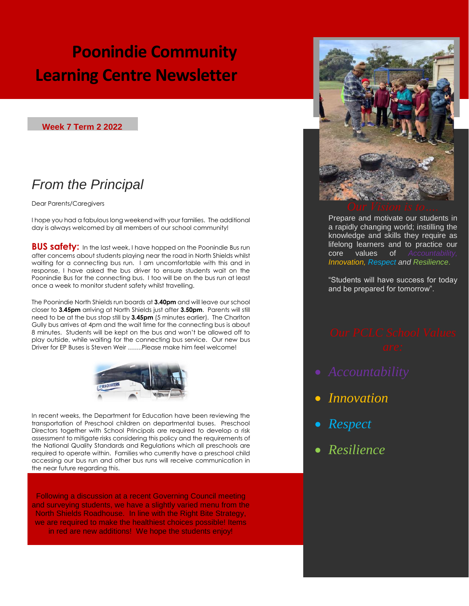# **Poonindie Community Learning Centre Newsletter**

### **Week 7 Term 2 2022**

## *From the Principal*

Dear Parents/Caregivers

I hope you had a fabulous long weekend with your families. The additional day is always welcomed by all members of our school community!

**BUS safety:** In the last week, I have hopped on the Poonindie Bus run after concerns about students playing near the road in North Shields whilst waiting for a connecting bus run. I am uncomfortable with this and in response, I have asked the bus driver to ensure students wait on the Poonindie Bus for the connecting bus. I too will be on the bus run at least once a week to monitor student safety whilst travelling.

The Poonindie North Shields run boards at **3.40pm** and will leave our school closer to **3.45pm** arriving at North Shields just after **3.50pm**. Parents will still need to be at the bus stop still by **3.45pm** (5 minutes earlier). The Charlton Gully bus arrives at 4pm and the wait time for the connecting bus is about 8 minutes. Students will be kept on the bus and won't be allowed off to play outside, while waiting for the connecting bus service. Our new bus Driver for EP Buses is Steven Weir …….Please make him feel welcome!



In recent weeks, the Department for Education have been reviewing the transportation of Preschool children on departmental buses. Preschool Directors together with School Principals are required to develop a risk assessment to mitigate risks considering this policy and the requirements of the National Quality Standards and Regulations which all preschools are required to operate within. Families who currently have a preschool child accessing our bus run and other bus runs will receive communication in the near future regarding this.

Following a discussion at a recent Governing Council meeting and surveying students, we have a slightly varied menu from the North Shields Roadhouse. In line with the Right Bite Strategy, we are required to make the healthiest choices possible! Items in red are new additions! We hope the students enjoy!



Prepare and motivate our students in a rapidly changing world; instilling the knowledge and skills they require as lifelong learners and to practice our core values of *Accountability, Innovation, Respect and Resilience*.

"Students will have success for today and be prepared for tomorrow".

- 
- *Innovation*
- *Respect*

*Resilience*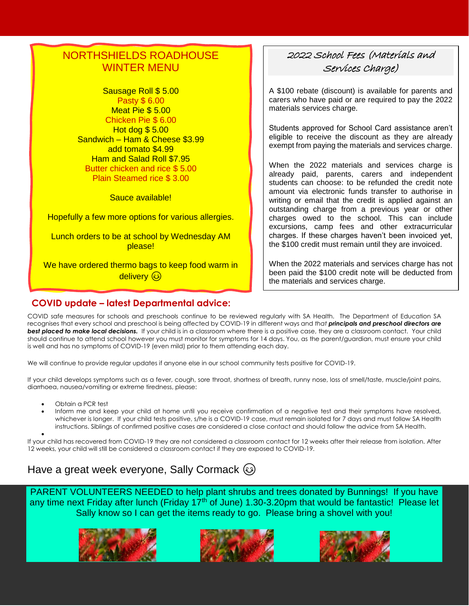## NORTHSHIELDS ROADHOUSE WINTER MENU

Sausage Roll \$ 5.00 Pasty \$ 6.00 Meat Pie \$ 5.00 Chicken Pie \$ 6.00 Hot dog \$ 5.00 Sandwich – Ham & Cheese \$3.99 add tomato \$4.99 Ham and Salad Roll \$7.95 Butter chicken and rice \$ 5.00 Plain Steamed rice \$ 3.00

Sauce available!

Hopefully a few more options for various allergies.

Lunch orders to be at school by Wednesday AM please!

We have ordered thermo bags to keep food warm in delivery 3

### **COVID update – latest Departmental advice:**

### 2022 School Fees (Materials and Services Charge)

A \$100 rebate (discount) is available for parents and carers who have paid or are required to pay the 2022 materials services charge.

Students approved for School Card assistance aren't eligible to receive the discount as they are already exempt from paying the materials and services charge.

When the 2022 materials and services charge is already paid, parents, carers and independent students can choose: to be refunded the credit note amount via electronic funds transfer to authorise in writing or email that the credit is applied against an outstanding charge from a previous year or other charges owed to the school. This can include excursions, camp fees and other extracurricular charges. If these charges haven't been invoiced yet, the \$100 credit must remain until they are invoiced.

When the 2022 materials and services charge has not been paid the \$100 credit note will be deducted from the materials and services charge.

COVID safe measures for schools and preschools continue to be reviewed regularly with SA Health. The Department of Education SA recognises that every school and preschool is being affected by COVID-19 in different ways and *that principals and preschool directors are*  **best placed to make local decisions.** If your child is in a classroom where there is a positive case, they are a classroom contact. Your child should continue to attend school however you must monitor for symptoms for 14 days. You, as the parent/guardian, must ensure your child is well and has no symptoms of COVID-19 (even mild) prior to them attending each day.

We will continue to provide regular updates if anyone else in our school community tests positive for COVID-19.

If your child develops symptoms such as a fever, cough, sore throat, shortness of breath, runny nose, loss of smell/taste, muscle/joint pains, diarrhoea, nausea/vomiting or extreme tiredness, please:

- Obtain a PCR test
- Inform me and keep your child at home until you receive confirmation of a negative test and their symptoms have resolved, whichever is longer. If your child tests positive, s/he is a COVID-19 case, must remain isolated for 7 days and must follow SA Health instructions. Siblings of confirmed positive cases are considered a close contact and should follow the advice fro[m SA Health.](https://www.sahealth.sa.gov.au/wps/wcm/connect/public+content/sa+health+internet/conditions/infectious+diseases/covid-19/cases+and+contacts/close+contact+advice/close+contact+advice)

 $\bullet$ If your child has recovered from COVID-19 they are not considered a classroom contact for 12 weeks after their release from isolation. After 12 weeks, your child will still be considered a classroom contact if they are exposed to COVID-19.

## Have a great week everyone, Sally Cormack

PARENT VOLUNTEERS NEEDED to help plant shrubs and trees donated by Bunnings! If you have any time next Friday after lunch (Friday 17<sup>th</sup> of June) 1.30-3.20pm that would be fantastic! Please let Sally know so I can get the items ready to go. Please bring a shovel with you!

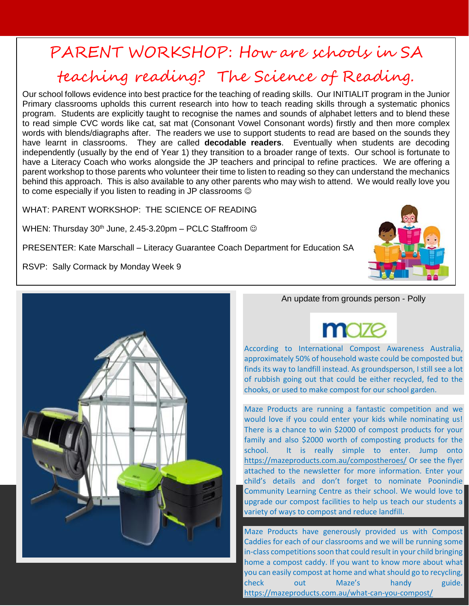## PARENT WORKSHOP: How are schools in SA

# teaching reading? The Science of Reading.

Our school follows evidence into best practice for the teaching of reading skills. Our INITIALIT program in the Junior Primary classrooms upholds this current research into how to teach reading skills through a systematic phonics program. Students are explicitly taught to recognise the names and sounds of alphabet letters and to blend these to read simple CVC words like cat, sat mat (Consonant Vowel Consonant words) firstly and then more complex words with blends/diagraphs after. The readers we use to support students to read are based on the sounds they have learnt in classrooms. They are called **decodable readers**. Eventually when students are decoding independently (usually by the end of Year 1) they transition to a broader range of texts. Our school is fortunate to have a Literacy Coach who works alongside the JP teachers and principal to refine practices. We are offering a parent workshop to those parents who volunteer their time to listen to reading so they can understand the mechanics behind this approach. This is also available to any other parents who may wish to attend. We would really love you to come especially if you listen to reading in JP classrooms  $\odot$ 

WHAT: PARENT WORKSHOP: THE SCIENCE OF READING

WHEN: Thursday  $30<sup>th</sup>$  June, 2.45-3.20pm – PCLC Staffroom  $\odot$ 

PRESENTER: Kate Marschall – Literacy Guarantee Coach Department for Education SA

RSVP: Sally Cormack by Monday Week 9





An update from grounds person - Polly

According to International Compost Awareness Australia, approximately 50% of household waste could be composted but finds its way to landfill instead. As groundsperson, I still see a lot of rubbish going out that could be either recycled, fed to the chooks, or used to make compost for our school garden.

Maze Products are running a fantastic competition and we would love if you could enter your kids while nominating us! There is a chance to win \$2000 of compost products for your family and also \$2000 worth of composting products for the school. It is really simple to enter. Jump onto <https://mazeproducts.com.au/compostheroes/> Or see the flyer attached to the newsletter for more information. Enter your child's details and don't forget to nominate Poonindie Community Learning Centre as their school. We would love to upgrade our compost facilities to help us teach our students a variety of ways to compost and reduce landfill.

Maze Products have generously provided us with Compost Caddies for each of our classrooms and we will be running some in-class competitions soon that could result in your child bringing home a compost caddy. If you want to know more about what you can easily compost at home and what should go to recycling, check out Maze's handy guide. <https://mazeproducts.com.au/what-can-you-compost/>